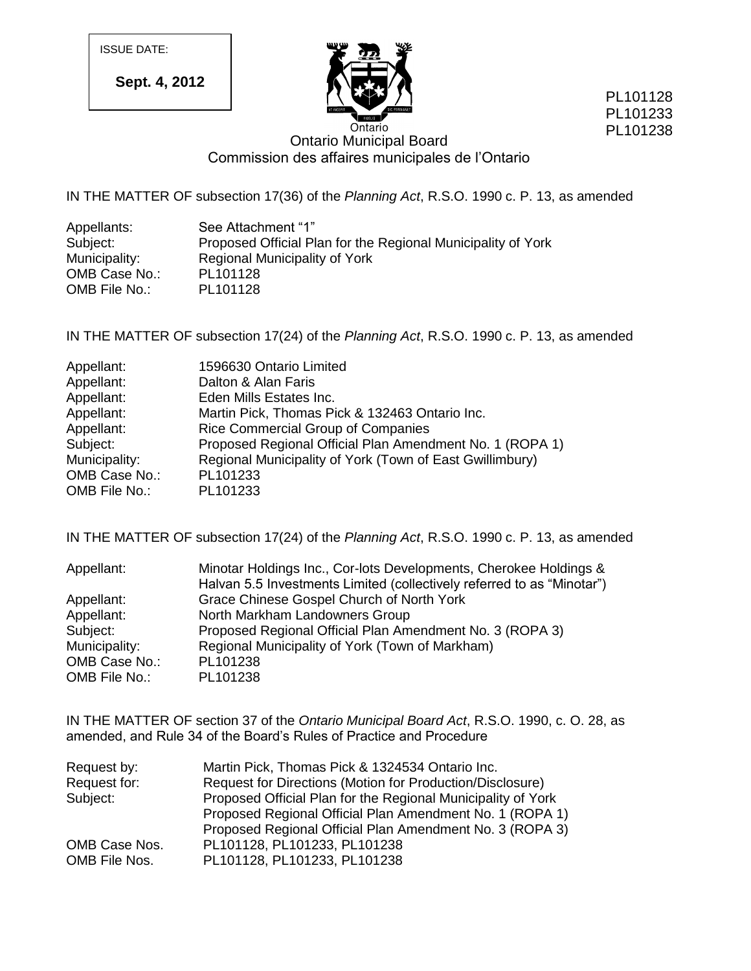ISSUE DATE:

**Sept. 4, 2012**



PL101128 PL101233 PL101238

# Ontario Municipal Board Commission des affaires municipales de l'Ontario

IN THE MATTER OF subsection 17(36) of the *Planning Act*, R.S.O. 1990 c. P. 13, as amended

| Appellants:   | See Attachment "1"                                           |
|---------------|--------------------------------------------------------------|
| Subject:      | Proposed Official Plan for the Regional Municipality of York |
| Municipality: | Regional Municipality of York                                |
| OMB Case No.: | PL101128                                                     |
| OMB File No.: | PL101128                                                     |

IN THE MATTER OF subsection 17(24) of the *Planning Act*, R.S.O. 1990 c. P. 13, as amended

| Appellant:    | 1596630 Ontario Limited                                  |
|---------------|----------------------------------------------------------|
| Appellant:    | Dalton & Alan Faris                                      |
| Appellant:    | Eden Mills Estates Inc.                                  |
| Appellant:    | Martin Pick, Thomas Pick & 132463 Ontario Inc.           |
| Appellant:    | Rice Commercial Group of Companies                       |
| Subject:      | Proposed Regional Official Plan Amendment No. 1 (ROPA 1) |
| Municipality: | Regional Municipality of York (Town of East Gwillimbury) |
| OMB Case No.: | PL101233                                                 |
| OMB File No.: | PL101233                                                 |

IN THE MATTER OF subsection 17(24) of the *Planning Act*, R.S.O. 1990 c. P. 13, as amended

| Appellant:    | Minotar Holdings Inc., Cor-lots Developments, Cherokee Holdings &      |
|---------------|------------------------------------------------------------------------|
|               | Halvan 5.5 Investments Limited (collectively referred to as "Minotar") |
| Appellant:    | Grace Chinese Gospel Church of North York                              |
| Appellant:    | North Markham Landowners Group                                         |
| Subject:      | Proposed Regional Official Plan Amendment No. 3 (ROPA 3)               |
| Municipality: | Regional Municipality of York (Town of Markham)                        |
| OMB Case No.: | PL101238                                                               |
| OMB File No.: | PL101238                                                               |

IN THE MATTER OF section 37 of the *Ontario Municipal Board Act*, R.S.O. 1990, c. O. 28, as amended, and Rule 34 of the Board's Rules of Practice and Procedure

| Request by:   | Martin Pick, Thomas Pick & 1324534 Ontario Inc.              |  |  |
|---------------|--------------------------------------------------------------|--|--|
| Request for:  | Request for Directions (Motion for Production/Disclosure)    |  |  |
| Subject:      | Proposed Official Plan for the Regional Municipality of York |  |  |
|               | Proposed Regional Official Plan Amendment No. 1 (ROPA 1)     |  |  |
|               | Proposed Regional Official Plan Amendment No. 3 (ROPA 3)     |  |  |
| OMB Case Nos. | PL101128, PL101233, PL101238                                 |  |  |
| OMB File Nos. | PL101128, PL101233, PL101238                                 |  |  |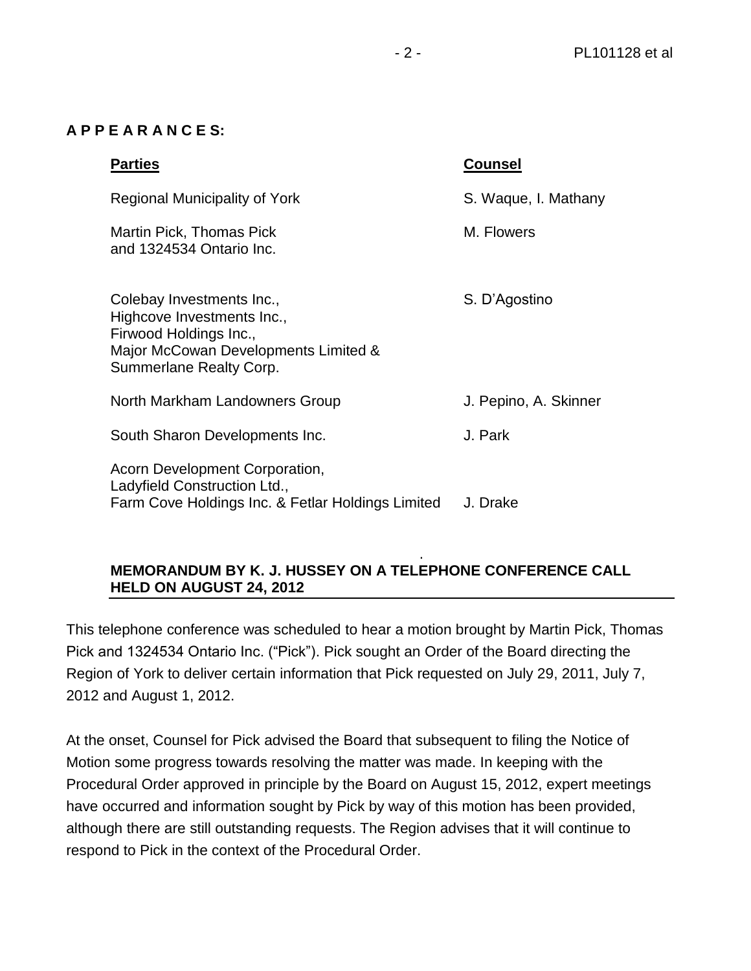### **A P P E A R A N C E S:**

| <b>Parties</b>                                                                                                                                       | <b>Counsel</b>        |
|------------------------------------------------------------------------------------------------------------------------------------------------------|-----------------------|
| Regional Municipality of York                                                                                                                        | S. Waque, I. Mathany  |
| Martin Pick, Thomas Pick<br>and 1324534 Ontario Inc.                                                                                                 | M. Flowers            |
| Colebay Investments Inc.,<br>Highcove Investments Inc.,<br>Firwood Holdings Inc.,<br>Major McCowan Developments Limited &<br>Summerlane Realty Corp. | S. D'Agostino         |
| North Markham Landowners Group                                                                                                                       | J. Pepino, A. Skinner |
| South Sharon Developments Inc.                                                                                                                       | J. Park               |
| Acorn Development Corporation,<br>Ladyfield Construction Ltd.,<br>Farm Cove Holdings Inc. & Fetlar Holdings Limited                                  | J. Drake              |

#### . **MEMORANDUM BY K. J. HUSSEY ON A TELEPHONE CONFERENCE CALL HELD ON AUGUST 24, 2012**

This telephone conference was scheduled to hear a motion brought by Martin Pick, Thomas Pick and 1324534 Ontario Inc. ("Pick"). Pick sought an Order of the Board directing the Region of York to deliver certain information that Pick requested on July 29, 2011, July 7, 2012 and August 1, 2012.

At the onset, Counsel for Pick advised the Board that subsequent to filing the Notice of Motion some progress towards resolving the matter was made. In keeping with the Procedural Order approved in principle by the Board on August 15, 2012, expert meetings have occurred and information sought by Pick by way of this motion has been provided, although there are still outstanding requests. The Region advises that it will continue to respond to Pick in the context of the Procedural Order.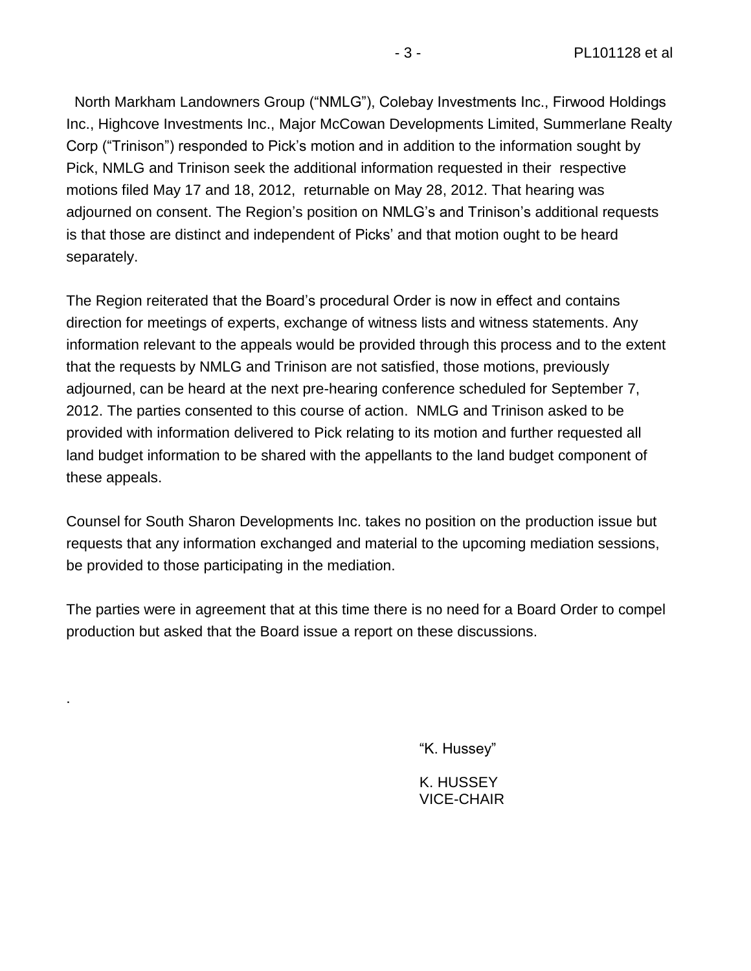North Markham Landowners Group ("NMLG"), Colebay Investments Inc., Firwood Holdings Inc., Highcove Investments Inc., Major McCowan Developments Limited, Summerlane Realty Corp ("Trinison") responded to Pick's motion and in addition to the information sought by Pick, NMLG and Trinison seek the additional information requested in their respective motions filed May 17 and 18, 2012, returnable on May 28, 2012. That hearing was adjourned on consent. The Region's position on NMLG's and Trinison's additional requests is that those are distinct and independent of Picks' and that motion ought to be heard separately.

The Region reiterated that the Board's procedural Order is now in effect and contains direction for meetings of experts, exchange of witness lists and witness statements. Any information relevant to the appeals would be provided through this process and to the extent that the requests by NMLG and Trinison are not satisfied, those motions, previously adjourned, can be heard at the next pre-hearing conference scheduled for September 7, 2012. The parties consented to this course of action. NMLG and Trinison asked to be provided with information delivered to Pick relating to its motion and further requested all land budget information to be shared with the appellants to the land budget component of these appeals.

Counsel for South Sharon Developments Inc. takes no position on the production issue but requests that any information exchanged and material to the upcoming mediation sessions, be provided to those participating in the mediation.

The parties were in agreement that at this time there is no need for a Board Order to compel production but asked that the Board issue a report on these discussions.

.

"K. Hussey"

K. HUSSEY VICE-CHAIR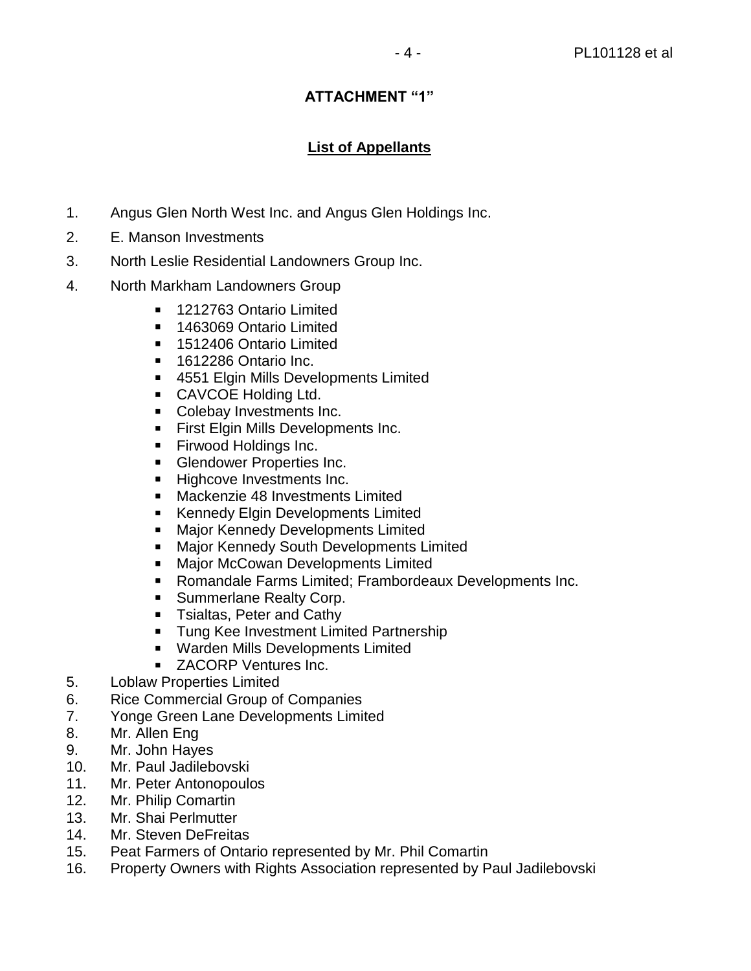### **ATTACHMENT "1"**

## **List of Appellants**

- 1. Angus Glen North West Inc. and Angus Glen Holdings Inc.
- 2. E. Manson Investments
- 3. North Leslie Residential Landowners Group Inc.
- 4. North Markham Landowners Group
	- 1212763 Ontario Limited
	- **1463069 Ontario Limited**
	- **1512406 Ontario Limited**
	- **1612286 Ontario Inc.**
	- 4551 Elgin Mills Developments Limited
	- **CAVCOE Holding Ltd.**
	- Colebay Investments Inc.
	- **First Elgin Mills Developments Inc.**
	- **Firwood Holdings Inc.**
	- **Glendower Properties Inc.**
	- Highcove Investments Inc.
	- Mackenzie 48 Investments Limited
	- **Kennedy Elgin Developments Limited**
	- **Major Kennedy Developments Limited**
	- **Major Kennedy South Developments Limited**
	- **Major McCowan Developments Limited**
	- Romandale Farms Limited; Frambordeaux Developments Inc.
	- **Summerlane Realty Corp.**
	- **Tialtas, Peter and Cathy**
	- **Tung Kee Investment Limited Partnership**
	- **Warden Mills Developments Limited**
	- **ZACORP Ventures Inc.**
- 5. Loblaw Properties Limited
- 6. Rice Commercial Group of Companies
- 7. Yonge Green Lane Developments Limited
- 8. Mr. Allen Eng
- 9. Mr. John Hayes
- 10. Mr. Paul Jadilebovski
- 11. Mr. Peter Antonopoulos
- 12. Mr. Philip Comartin
- 13. Mr. Shai Perlmutter
- 14. Mr. Steven DeFreitas
- 15. Peat Farmers of Ontario represented by Mr. Phil Comartin
- 16. Property Owners with Rights Association represented by Paul Jadilebovski